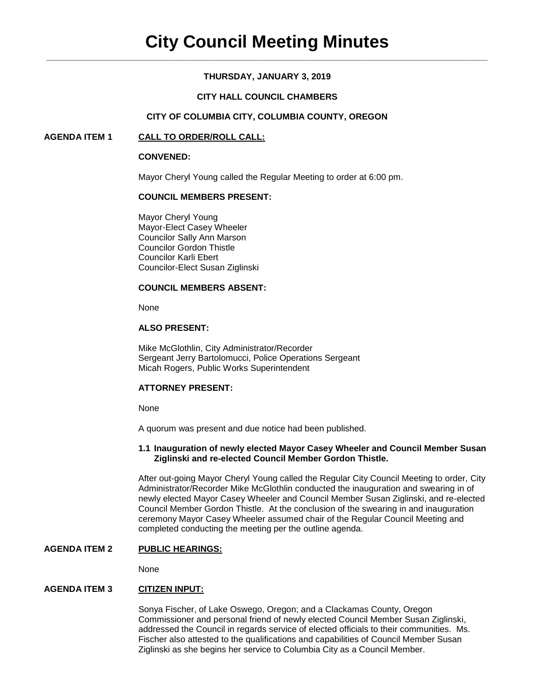# **THURSDAY, JANUARY 3, 2019**

### **CITY HALL COUNCIL CHAMBERS**

### **CITY OF COLUMBIA CITY, COLUMBIA COUNTY, OREGON**

### **AGENDA ITEM 1 CALL TO ORDER/ROLL CALL:**

#### **CONVENED:**

Mayor Cheryl Young called the Regular Meeting to order at 6:00 pm.

### **COUNCIL MEMBERS PRESENT:**

Mayor Cheryl Young Mayor-Elect Casey Wheeler Councilor Sally Ann Marson Councilor Gordon Thistle Councilor Karli Ebert Councilor-Elect Susan Ziglinski

# **COUNCIL MEMBERS ABSENT:**

None

### **ALSO PRESENT:**

Mike McGlothlin, City Administrator/Recorder Sergeant Jerry Bartolomucci, Police Operations Sergeant Micah Rogers, Public Works Superintendent

### **ATTORNEY PRESENT:**

None

A quorum was present and due notice had been published.

#### **1.1 Inauguration of newly elected Mayor Casey Wheeler and Council Member Susan Ziglinski and re-elected Council Member Gordon Thistle.**

After out-going Mayor Cheryl Young called the Regular City Council Meeting to order, City Administrator/Recorder Mike McGlothlin conducted the inauguration and swearing in of newly elected Mayor Casey Wheeler and Council Member Susan Ziglinski, and re-elected Council Member Gordon Thistle. At the conclusion of the swearing in and inauguration ceremony Mayor Casey Wheeler assumed chair of the Regular Council Meeting and completed conducting the meeting per the outline agenda.

#### **AGENDA ITEM 2 PUBLIC HEARINGS:**

None

# **AGENDA ITEM 3 CITIZEN INPUT:**

Sonya Fischer, of Lake Oswego, Oregon; and a Clackamas County, Oregon Commissioner and personal friend of newly elected Council Member Susan Ziglinski, addressed the Council in regards service of elected officials to their communities. Ms. Fischer also attested to the qualifications and capabilities of Council Member Susan Ziglinski as she begins her service to Columbia City as a Council Member.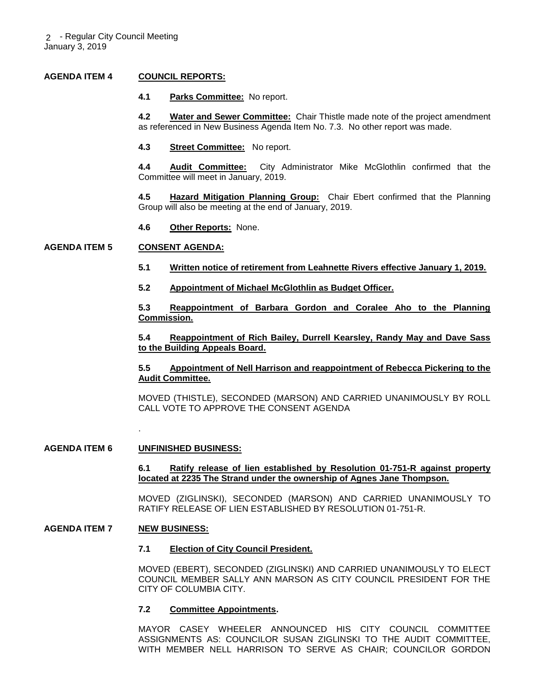### **AGENDA ITEM 4 COUNCIL REPORTS:**

#### **4.1 Parks Committee:** No report.

**4.2 Water and Sewer Committee:** Chair Thistle made note of the project amendment as referenced in New Business Agenda Item No. 7.3. No other report was made.

**4.3 Street Committee:** No report.

**4.4 Audit Committee:** City Administrator Mike McGlothlin confirmed that the Committee will meet in January, 2019.

**4.5 Hazard Mitigation Planning Group:** Chair Ebert confirmed that the Planning Group will also be meeting at the end of January, 2019.

**4.6 Other Reports:** None.

### **AGENDA ITEM 5 CONSENT AGENDA:**

- **5.1 Written notice of retirement from Leahnette Rivers effective January 1, 2019.**
- **5.2 Appointment of Michael McGlothlin as Budget Officer.**

**5.3 Reappointment of Barbara Gordon and Coralee Aho to the Planning Commission.**

**5.4 Reappointment of Rich Bailey, Durrell Kearsley, Randy May and Dave Sass to the Building Appeals Board.**

**5.5 Appointment of Nell Harrison and reappointment of Rebecca Pickering to the Audit Committee.** 

MOVED (THISTLE), SECONDED (MARSON) AND CARRIED UNANIMOUSLY BY ROLL CALL VOTE TO APPROVE THE CONSENT AGENDA

#### **AGENDA ITEM 6 UNFINISHED BUSINESS:**

.

**6.1 Ratify release of lien established by Resolution 01-751-R against property located at 2235 The Strand under the ownership of Agnes Jane Thompson.** 

MOVED (ZIGLINSKI), SECONDED (MARSON) AND CARRIED UNANIMOUSLY TO RATIFY RELEASE OF LIEN ESTABLISHED BY RESOLUTION 01-751-R.

#### **AGENDA ITEM 7 NEW BUSINESS:**

#### **7.1 Election of City Council President.**

MOVED (EBERT), SECONDED (ZIGLINSKI) AND CARRIED UNANIMOUSLY TO ELECT COUNCIL MEMBER SALLY ANN MARSON AS CITY COUNCIL PRESIDENT FOR THE CITY OF COLUMBIA CITY.

#### **7.2 Committee Appointments.**

MAYOR CASEY WHEELER ANNOUNCED HIS CITY COUNCIL COMMITTEE ASSIGNMENTS AS: COUNCILOR SUSAN ZIGLINSKI TO THE AUDIT COMMITTEE, WITH MEMBER NELL HARRISON TO SERVE AS CHAIR; COUNCILOR GORDON